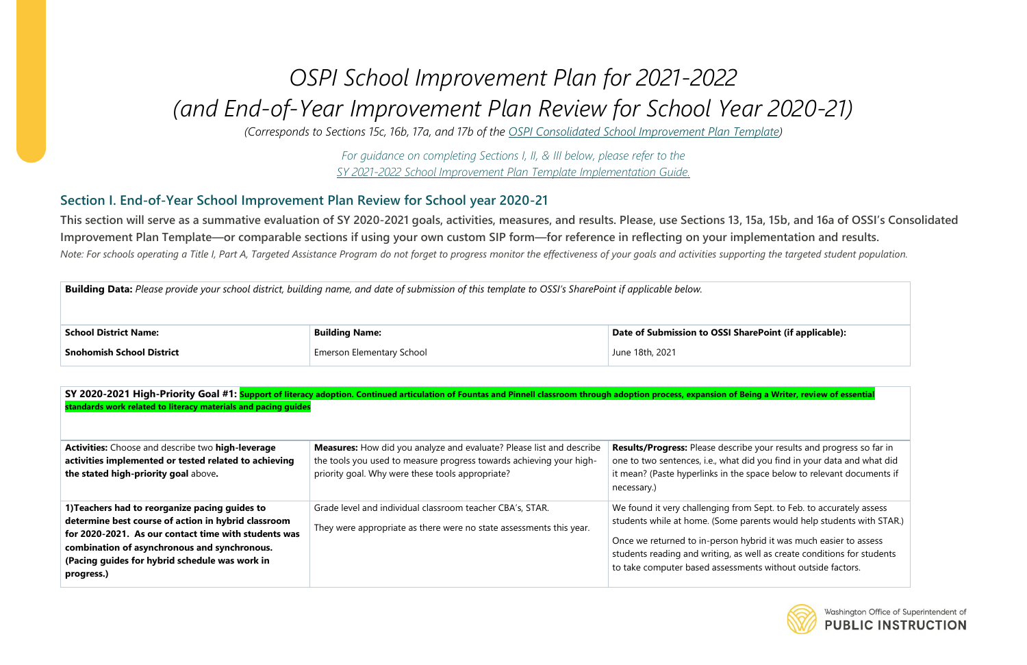# *OSPI School Improvement Plan for 2021-2022 (and End-of-Year Improvement Plan Review for School Year 2020-21)*

*(Corresponds to Sections 15c, 16b, 17a, and 17b of the [OSPI Consolidated School Improvement Plan Template\)](https://www.k12.wa.us/policy-funding/grants-grant-management/closing-educational-achievement-gaps-title-i-part/title-i-part-program-models/schoolwide-program)*

*For guidance on completing Sections I, II, & III below, please refer to the [SY 2021-2022 School Improvement Plan Template Implementation Guide.](https://www.k12.wa.us/sites/default/files/public/ossi/schoolimprovement/pubdocs/Implementation%20Guide%202020-2021%20EoY%20and%202021-2022%20SIP%20Goals%204.0.pdf)*

# **Section I. End-of-Year School Improvement Plan Review for School year 2020-21**

**This section will serve as a summative evaluation of SY 2020-2021 goals, activities, measures, and results. Please, use Sections 13, 15a, 15b, and 16a of OSSI's Consolidated Improvement Plan Template—or comparable sections if using your own custom SIP form—for reference in reflecting on your implementation and results.**  *Note: For schools operating a Title I, Part A, Targeted Assistance Program do not forget to progress monitor the effectiveness of your goals and activities supporting the targeted student population.* 

**Building Data:** *Please provide your school district, building name, and date of submission of this template to OSSI's SharePoint if applicable below.*

| <b>School District Name:</b>     | <b>Building Name:</b>     | Date of Submission to OSSI Share |  |
|----------------------------------|---------------------------|----------------------------------|--|
| <b>Snohomish School District</b> | Emerson Elementary School | June 18th, 2021                  |  |

#### **SY 2020-2021 High-Priority Goal #1: Support of literacy adoption. Continued articulation of Fountas and Pinnell classroom through adoption process, expansion of Being a Writer, review of essential standards work related to literacy materials and pacing guides**

| Activities: Choose and describe two high-leverage<br>activities implemented or tested related to achieving<br>the stated high-priority goal above.                                                                                                                            | <b>Measures:</b> How did you analyze and evaluate? Please list and describe<br>the tools you used to measure progress towards achieving your high-<br>priority goal. Why were these tools appropriate? | <b>Results/Progress: Please describe</b><br>one to two sentences, i.e., what did<br>it mean? (Paste hyperlinks in the sp<br>necessary.)                                                 |
|-------------------------------------------------------------------------------------------------------------------------------------------------------------------------------------------------------------------------------------------------------------------------------|--------------------------------------------------------------------------------------------------------------------------------------------------------------------------------------------------------|-----------------------------------------------------------------------------------------------------------------------------------------------------------------------------------------|
| 1) Teachers had to reorganize pacing guides to<br>determine best course of action in hybrid classroom<br>for 2020-2021. As our contact time with students was<br>combination of asynchronous and synchronous.<br>(Pacing guides for hybrid schedule was work in<br>progress.) | Grade level and individual classroom teacher CBA's, STAR.<br>They were appropriate as there were no state assessments this year.                                                                       | We found it very challenging from<br>students while at home. (Some pare<br>Once we returned to in-person hyb<br>students reading and writing, as we<br>to take computer based assessmen |

**Point (if applicable):** 

your results and progress so far in you find in your data and what did ace below to relevant documents if

Sept. to Feb. to accurately assess ents would help students with STAR.)

orid it was much easier to assess ell as create conditions for students its without outside factors.



Washington Office of Superintendent of **PUBLIC INSTRUCTION**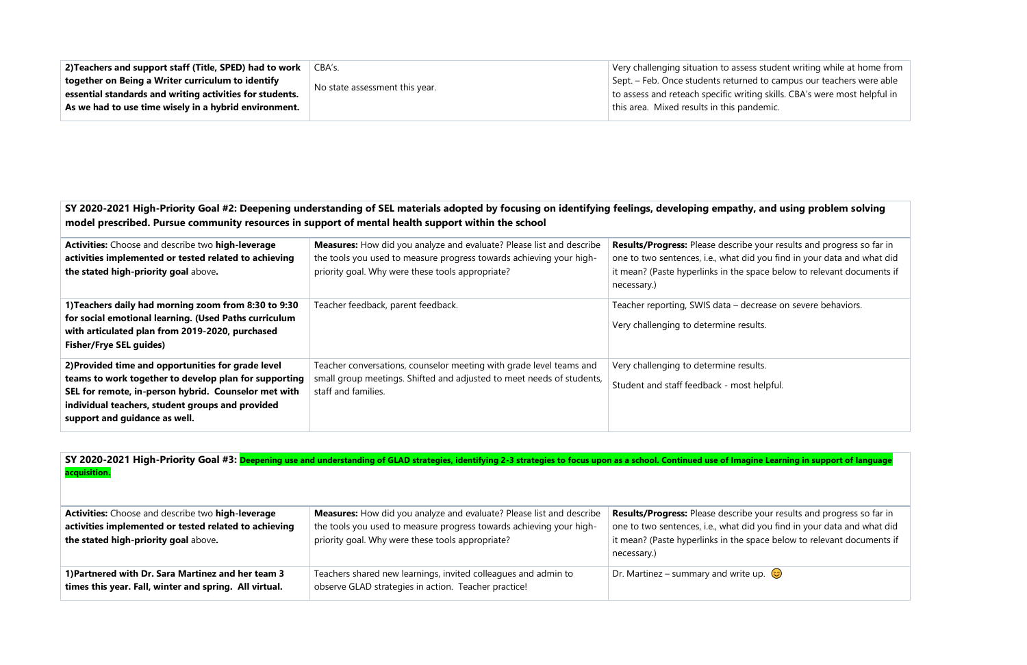| 2) Teachers and support staff (Title, SPED) had to work  | CBA's.                                 | Very challenging situation to assess  |
|----------------------------------------------------------|----------------------------------------|---------------------------------------|
| together on Being a Writer curriculum to identify        | $\perp$ No state assessment this year. | Sept. - Feb. Once students returnec   |
| essential standards and writing activities for students. |                                        | to assess and reteach specific writin |
| As we had to use time wisely in a hybrid environment.    |                                        | this area. Mixed results in this pand |
|                                                          |                                        |                                       |

### **SY 2020-2021 High-Priority Goal #2: Deepening understanding of SEL materials adopted by focusing on identifying feelings, developing empathy, and using problem solving model prescribed. Pursue community resources in support of mental health support within the school**

| <b>Activities:</b> Choose and describe two <b>high-leverage</b><br>activities implemented or tested related to achieving<br>the stated high-priority goal above.                                                                                         | <b>Measures:</b> How did you analyze and evaluate? Please list and describe<br>the tools you used to measure progress towards achieving your high-<br>priority goal. Why were these tools appropriate? | Results/Progress: Please describe you<br>one to two sentences, i.e., what did yor<br>it mean? (Paste hyperlinks in the space<br>necessary.) |
|----------------------------------------------------------------------------------------------------------------------------------------------------------------------------------------------------------------------------------------------------------|--------------------------------------------------------------------------------------------------------------------------------------------------------------------------------------------------------|---------------------------------------------------------------------------------------------------------------------------------------------|
| 1) Teachers daily had morning zoom from 8:30 to 9:30<br>for social emotional learning. (Used Paths curriculum<br>with articulated plan from 2019-2020, purchased<br><b>Fisher/Frye SEL guides)</b>                                                       | Teacher feedback, parent feedback.                                                                                                                                                                     | Teacher reporting, SWIS data - decrea<br>Very challenging to determine results.                                                             |
| 2) Provided time and opportunities for grade level<br>teams to work together to develop plan for supporting<br>SEL for remote, in-person hybrid. Counselor met with<br>individual teachers, student groups and provided<br>support and guidance as well. | Teacher conversations, counselor meeting with grade level teams and<br>small group meetings. Shifted and adjusted to meet needs of students,<br>staff and families.                                    | Very challenging to determine results.<br>Student and staff feedback - most help                                                            |

#### **SY 2020-2021 High-Priority Goal #3: Deepening use and understanding of GLAD strategies, identifying 2-3 strategies to focus upon as a school. Continued use of Imagine Learning in support of language acquisition.**

| Activities: Choose and describe two high-leverage<br>activities implemented or tested related to achieving<br>the stated high-priority goal above. | <b>Measures:</b> How did you analyze and evaluate? Please list and describe<br>the tools you used to measure progress towards achieving your high-<br>priority goal. Why were these tools appropriate? | Results/Progress: Please describe you<br>one to two sentences, i.e., what did yo<br>it mean? (Paste hyperlinks in the space<br>necessary.) |
|----------------------------------------------------------------------------------------------------------------------------------------------------|--------------------------------------------------------------------------------------------------------------------------------------------------------------------------------------------------------|--------------------------------------------------------------------------------------------------------------------------------------------|
| 1) Partnered with Dr. Sara Martinez and her team 3<br>times this year. Fall, winter and spring. All virtual.                                       | Teachers shared new learnings, invited colleagues and admin to<br>observe GLAD strategies in action. Teacher practice!                                                                                 | Dr. Martinez – summary and write up.                                                                                                       |

s student writing while at home from d to campus our teachers were able ng skills. CBA's were most helpful in demic.

your results and progress so far in I you find in your data and what did bace below to relevant documents if

rease on severe behaviors.

helpful.

your results and progress so far in you find in your data and what did bace below to relevant documents if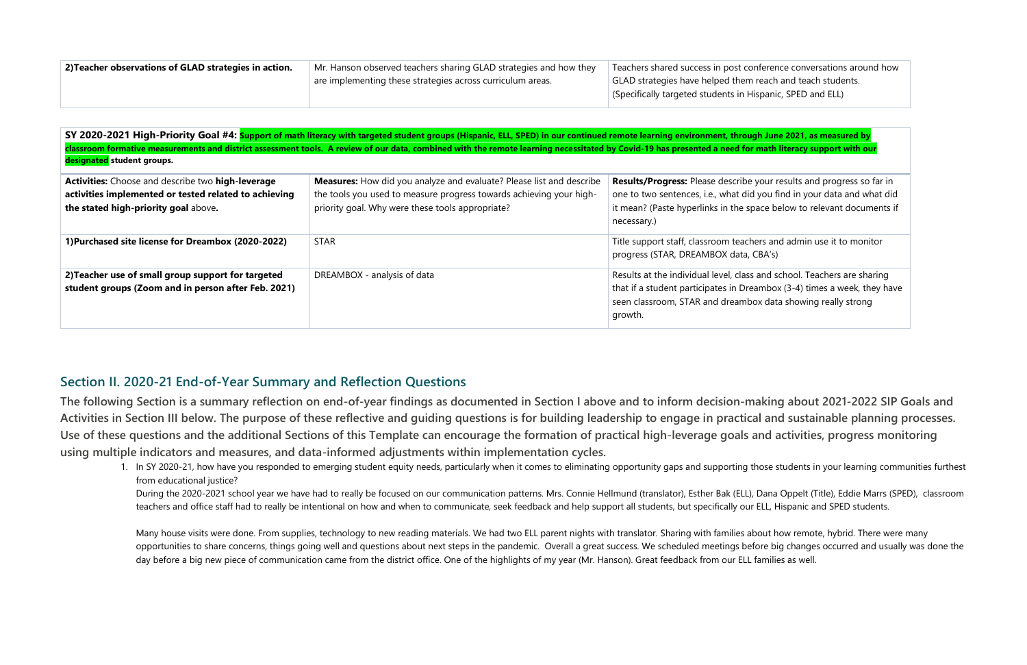| 2) Teacher observations of GLAD strategies in action. | Mr. Hanson observed teachers sharing GLAD strategies and how they | $\perp$ Teachers shared success in post conf |  |
|-------------------------------------------------------|-------------------------------------------------------------------|----------------------------------------------|--|
|                                                       | are implementing these strategies across curriculum areas.        | GLAD strategies have helped them re          |  |
|                                                       |                                                                   | Specifically targeted students in Hisp       |  |

**SY 2020-2021 High-Priority Goal #4: Support of math literacy with targeted student groups (Hispanic, ELL, SPED) in our continued remote learning environment, through June 2021, as measured by classroom formative measurements and district assessment tools. A review of our data, combined with the remote learning necessitated by Covid-19 has presented a need for math literacy support with our designated student groups.**

| Activities: Choose and describe two high-leverage<br>activities implemented or tested related to achieving<br>the stated high-priority goal above. | <b>Measures:</b> How did you analyze and evaluate? Please list and describe<br>the tools you used to measure progress towards achieving your high-<br>priority goal. Why were these tools appropriate? | <b>Results/Progress: Please describe</b><br>one to two sentences, i.e., what did<br>it mean? (Paste hyperlinks in the sp<br>necessary.) |
|----------------------------------------------------------------------------------------------------------------------------------------------------|--------------------------------------------------------------------------------------------------------------------------------------------------------------------------------------------------------|-----------------------------------------------------------------------------------------------------------------------------------------|
| 1) Purchased site license for Dreambox (2020-2022)                                                                                                 | <b>STAR</b>                                                                                                                                                                                            | Title support staff, classroom teach<br>progress (STAR, DREAMBOX data, 0                                                                |
| 2) Teacher use of small group support for targeted<br>student groups (Zoom and in person after Feb. 2021)                                          | DREAMBOX - analysis of data                                                                                                                                                                            | Results at the individual level, class<br>that if a student participates in Dre<br>seen classroom, STAR and dreambo<br>growth.          |

During the 2020-2021 school year we have had to really be focused on our communication patterns. Mrs. Connie Hellmund (translator), Esther Bak (ELL), Dana Oppelt (Title), Eddie Marrs (SPED), classroom teachers and office staff had to really be intentional on how and when to communicate, seek feedback and help support all students, but specifically our ELL, Hispanic and SPED students.

Many house visits were done. From supplies, technology to new reading materials. We had two ELL parent nights with translator. Sharing with families about how remote, hybrid. There were many opportunities to share concerns, things going well and questions about next steps in the pandemic. Overall a great success. We scheduled meetings before big changes occurred and usually was done the day before a big new piece of communication came from the district office. One of the highlights of my year (Mr. Hanson). Great feedback from our ELL families as well.

ference conversations around how each and teach students. panic, SPED and ELL)

your results and progress so far in you find in your data and what did ace below to relevant documents if

**1)** Purchase it to monitor increase it to monitor  $CBA's$ )

and school. Teachers are sharing a student a student participate in a student participate ox data showing really strong

# **Section II. 2020-21 End-of-Year Summary and Reflection Questions**

**The following Section is a summary reflection on end-of-year findings as documented in Section I above and to inform decision-making about 2021-2022 SIP Goals and Activities in Section III below. The purpose of these reflective and guiding questions is for building leadership to engage in practical and sustainable planning processes. Use of these questions and the additional Sections of this Template can encourage the formation of practical high-leverage goals and activities, progress monitoring using multiple indicators and measures, and data-informed adjustments within implementation cycles.**

1. In SY 2020-21, how have you responded to emerging student equity needs, particularly when it comes to eliminating opportunity gaps and supporting those students in your learning communities furthest from educational justice?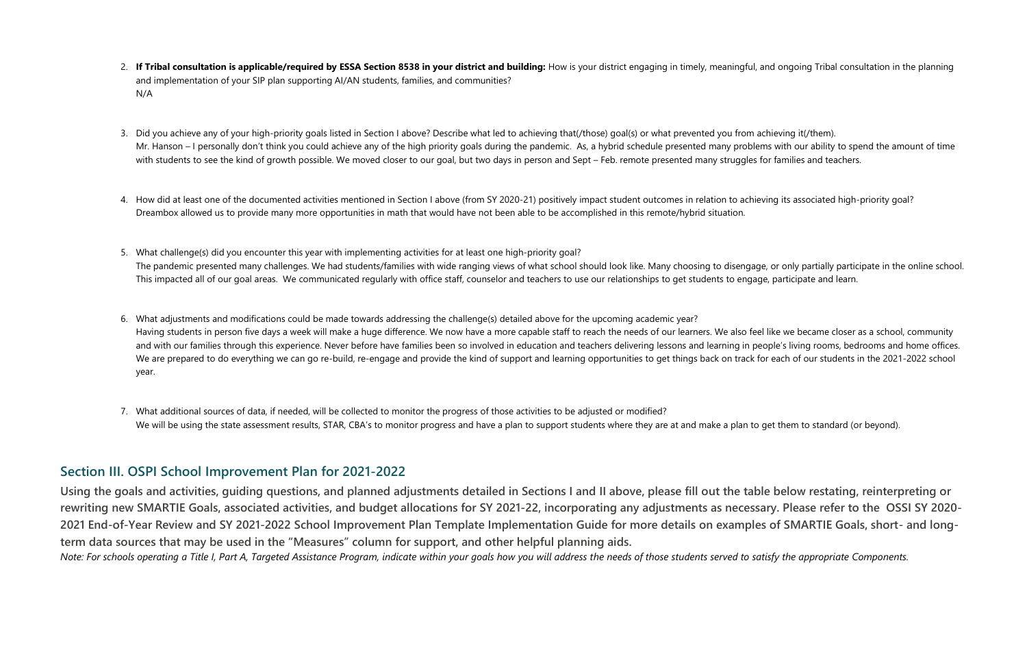- 2. If Tribal consultation is applicable/required by ESSA Section 8538 in your district and building: How is your district engaging in timely, meaningful, and ongoing Tribal consultation in the planning and implementation of your SIP plan supporting AI/AN students, families, and communities? N/A
- 3. Did you achieve any of your high-priority goals listed in Section I above? Describe what led to achieving that(/those) goal(s) or what prevented you from achieving it(/them). Mr. Hanson – I personally don't think you could achieve any of the high priority goals during the pandemic. As, a hybrid schedule presented many problems with our ability to spend the amount of time with students to see the kind of growth possible. We moved closer to our goal, but two days in person and Sept – Feb. remote presented many struggles for families and teachers.
- 4. How did at least one of the documented activities mentioned in Section I above (from SY 2020-21) positively impact student outcomes in relation to achieving its associated high-priority goal? Dreambox allowed us to provide many more opportunities in math that would have not been able to be accomplished in this remote/hybrid situation.
- 5. What challenge(s) did you encounter this year with implementing activities for at least one high-priority goal? The pandemic presented many challenges. We had students/families with wide ranging views of what school should look like. Many choosing to disengage, or only partially participate in the online school. This impacted all of our goal areas. We communicated regularly with office staff, counselor and teachers to use our relationships to get students to engage, participate and learn.
- 6. What adjustments and modifications could be made towards addressing the challenge(s) detailed above for the upcoming academic year? Having students in person five days a week will make a huge difference. We now have a more capable staff to reach the needs of our learners. We also feel like we became closer as a school, community and with our families through this experience. Never before have families been so involved in education and teachers delivering lessons and learning in people's living rooms, bedrooms and home offices. We are prepared to do everything we can go re-build, re-engage and provide the kind of support and learning opportunities to get things back on track for each of our students in the 2021-2022 school year.
- 7. What additional sources of data, if needed, will be collected to monitor the progress of those activities to be adjusted or modified? We will be using the state assessment results, STAR, CBA's to monitor progress and have a plan to support students where they are at and make a plan to get them to standard (or beyond).

## **Section III. OSPI School Improvement Plan for 2021-2022**

**Using the goals and activities, guiding questions, and planned adjustments detailed in Sections I and II above, please fill out the table below restating, reinterpreting or rewriting new SMARTIE Goals, associated activities, and budget allocations for SY 2021-22, incorporating any adjustments as necessary. Please refer to the OSSI SY 2020- 2021 End-of-Year Review and SY 2021-2022 School Improvement Plan Template Implementation Guide for more details on examples of SMARTIE Goals, short- and longterm data sources that may be used in the "Measures" column for support, and other helpful planning aids.** *Note: For schools operating a Title I, Part A, Targeted Assistance Program, indicate within your goals how you will address the needs of those students served to satisfy the appropriate Components.*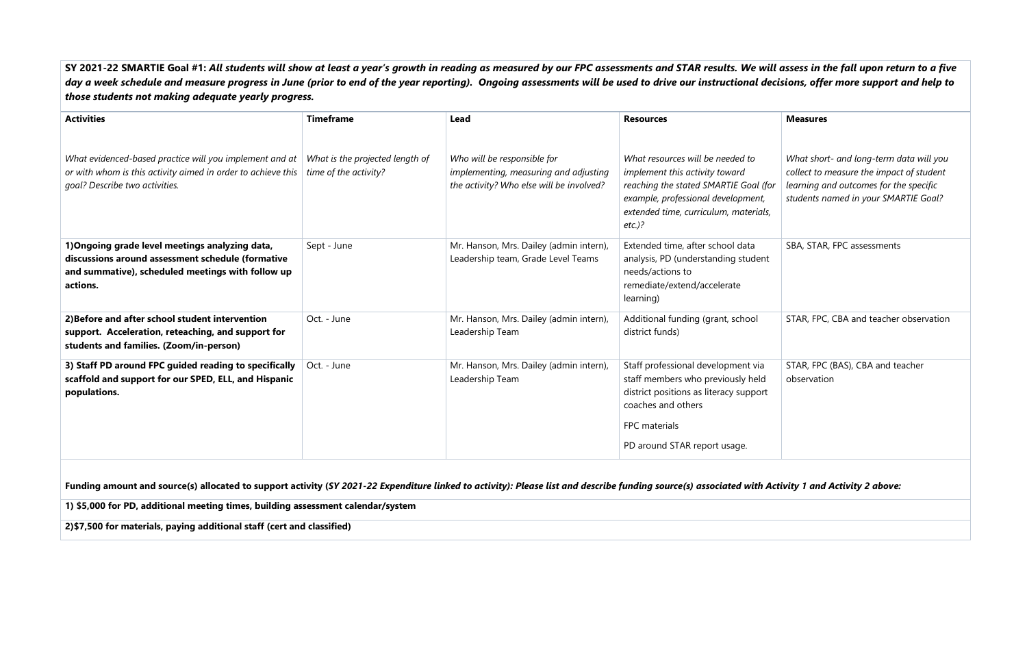**SY 2021-22 SMARTIE Goal #1:** *All students will show at least a year's growth in reading as measured by our FPC assessments and STAR results. We will assess in the fall upon return to a five those students not making adequate yearly progress.* 

| <b>Activities</b>                                                                                                                                                     | <b>Timeframe</b>                                         | Lead                                                                                                             | <b>Resources</b>                                                                                                                                                                                        | <b>Measures</b>                                                                                                                                                       |
|-----------------------------------------------------------------------------------------------------------------------------------------------------------------------|----------------------------------------------------------|------------------------------------------------------------------------------------------------------------------|---------------------------------------------------------------------------------------------------------------------------------------------------------------------------------------------------------|-----------------------------------------------------------------------------------------------------------------------------------------------------------------------|
| What evidenced-based practice will you implement and at<br>or with whom is this activity aimed in order to achieve this<br>goal? Describe two activities.             | What is the projected length of<br>time of the activity? | Who will be responsible for<br>implementing, measuring and adjusting<br>the activity? Who else will be involved? | What resources will be needed to<br>implement this activity toward<br>reaching the stated SMARTIE Goal (for<br>example, professional development,<br>extended time, curriculum, materials,<br>$etc.$ )? | What short- and long-term data will you<br>collect to measure the impact of student<br>learning and outcomes for the specific<br>students named in your SMARTIE Goal? |
| 1) Ongoing grade level meetings analyzing data,<br>discussions around assessment schedule (formative<br>and summative), scheduled meetings with follow up<br>actions. | Sept - June                                              | Mr. Hanson, Mrs. Dailey (admin intern),<br>Leadership team, Grade Level Teams                                    | Extended time, after school data<br>analysis, PD (understanding student<br>needs/actions to<br>remediate/extend/accelerate<br>learning)                                                                 | SBA, STAR, FPC assessments                                                                                                                                            |
| 2) Before and after school student intervention<br>support. Acceleration, reteaching, and support for<br>students and families. (Zoom/in-person)                      | Oct. - June                                              | Mr. Hanson, Mrs. Dailey (admin intern),<br>Leadership Team                                                       | Additional funding (grant, school<br>district funds)                                                                                                                                                    | STAR, FPC, CBA and teacher observation                                                                                                                                |
| 3) Staff PD around FPC guided reading to specifically<br>scaffold and support for our SPED, ELL, and Hispanic<br>populations.                                         | Oct. - June                                              | Mr. Hanson, Mrs. Dailey (admin intern),<br>Leadership Team                                                       | Staff professional development via<br>staff members who previously held<br>district positions as literacy support<br>coaches and others<br>FPC materials<br>PD around STAR report usage.                | STAR, FPC (BAS), CBA and teacher<br>observation                                                                                                                       |

**Funding amount and source(s) allocated to support activity (***SY 2021-22 Expenditure linked to activity): Please list and describe funding source(s) associated with Activity 1 and Activity 2 above:*

**1) \$5,000 for PD, additional meeting times, building assessment calendar/system**

**2)\$7,500 for materials, paying additional staff (cert and classified)**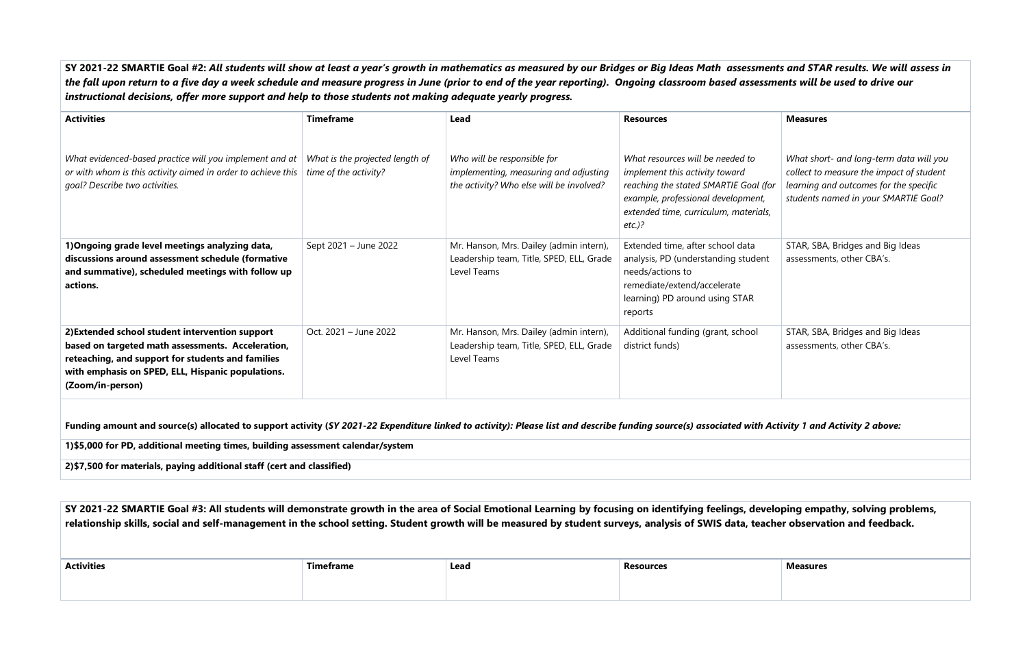| <b>Activities</b>                                                                                                                                                                                                                  | <b>Timeframe</b>                                         | Lead                                                                                                             | <b>Resources</b>                                                                                                                                                                                        | <b>Measures</b>                                                                                                                                                       |
|------------------------------------------------------------------------------------------------------------------------------------------------------------------------------------------------------------------------------------|----------------------------------------------------------|------------------------------------------------------------------------------------------------------------------|---------------------------------------------------------------------------------------------------------------------------------------------------------------------------------------------------------|-----------------------------------------------------------------------------------------------------------------------------------------------------------------------|
| What evidenced-based practice will you implement and at<br>or with whom is this activity aimed in order to achieve this<br>goal? Describe two activities.                                                                          | What is the projected length of<br>time of the activity? | Who will be responsible for<br>implementing, measuring and adjusting<br>the activity? Who else will be involved? | What resources will be needed to<br>implement this activity toward<br>reaching the stated SMARTIE Goal (for<br>example, professional development,<br>extended time, curriculum, materials,<br>$etc.$ )? | What short- and long-term data will you<br>collect to measure the impact of student<br>learning and outcomes for the specific<br>students named in your SMARTIE Goal? |
| 1) Ongoing grade level meetings analyzing data,<br>discussions around assessment schedule (formative<br>and summative), scheduled meetings with follow up<br>actions.                                                              | Sept 2021 - June 2022                                    | Mr. Hanson, Mrs. Dailey (admin intern),<br>Leadership team, Title, SPED, ELL, Grade<br>Level Teams               | Extended time, after school data<br>analysis, PD (understanding student<br>needs/actions to<br>remediate/extend/accelerate<br>learning) PD around using STAR<br>reports                                 | STAR, SBA, Bridges and Big Ideas<br>assessments, other CBA's.                                                                                                         |
| 2) Extended school student intervention support<br>based on targeted math assessments. Acceleration,<br>reteaching, and support for students and families<br>with emphasis on SPED, ELL, Hispanic populations.<br>(Zoom/in-person) | Oct. 2021 - June 2022                                    | Mr. Hanson, Mrs. Dailey (admin intern),<br>Leadership team, Title, SPED, ELL, Grade<br>Level Teams               | Additional funding (grant, school<br>district funds)                                                                                                                                                    | STAR, SBA, Bridges and Big Ideas<br>assessments, other CBA's.                                                                                                         |

**Funding amount and source(s) allocated to support activity (***SY 2021-22 Expenditure linked to activity): Please list and describe funding source(s) associated with Activity 1 and Activity 2 above:*

**1)\$5,000 for PD, additional meeting times, building assessment calendar/system**

**2)\$7,500 for materials, paying additional staff (cert and classified)**

**SY 2021-22 SMARTIE Goal #3: All students will demonstrate growth in the area of Social Emotional Learning by focusing on identifying feelings, developing empathy, solving problems, relationship skills, social and self-management in the school setting. Student growth will be measured by student surveys, analysis of SWIS data, teacher observation and feedback.** 

| .<br>tivities | ame | <b>Lead</b> | . Resources<br>. | <b>Measures</b> |
|---------------|-----|-------------|------------------|-----------------|
|               |     |             |                  |                 |
|               |     |             |                  |                 |